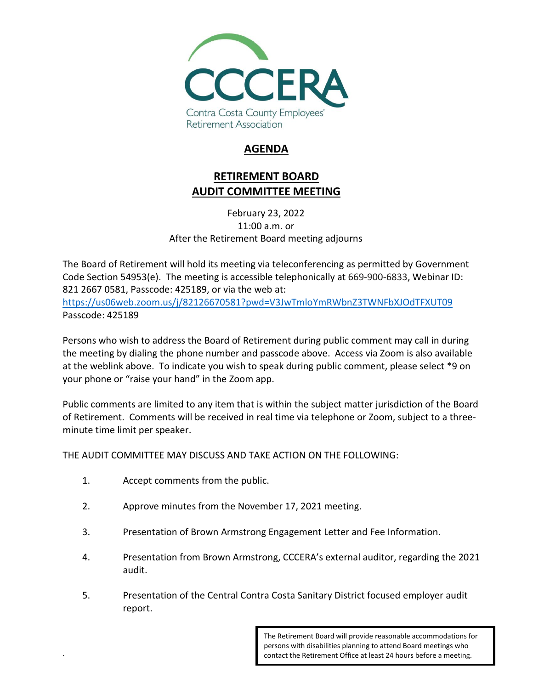

## **AGENDA**

## **RETIREMENT BOARD AUDIT COMMITTEE MEETING**

February 23, 2022 11:00 a.m. or After the Retirement Board meeting adjourns

The Board of Retirement will hold its meeting via teleconferencing as permitted by Government Code Section 54953(e). The meeting is accessible telephonically at 669-900-6833, Webinar ID: 821 2667 0581, Passcode: 425189, or via the web at: <https://us06web.zoom.us/j/82126670581?pwd=V3JwTmloYmRWbnZ3TWNFbXJOdTFXUT09> Passcode: 425189

Persons who wish to address the Board of Retirement during public comment may call in during the meeting by dialing the phone number and passcode above. Access via Zoom is also available at the weblink above. To indicate you wish to speak during public comment, please select \*9 on your phone or "raise your hand" in the Zoom app.

Public comments are limited to any item that is within the subject matter jurisdiction of the Board of Retirement. Comments will be received in real time via telephone or Zoom, subject to a threeminute time limit per speaker.

THE AUDIT COMMITTEE MAY DISCUSS AND TAKE ACTION ON THE FOLLOWING:

1. Accept comments from the public.

.

- 2. Approve minutes from the November 17, 2021 meeting.
- 3. Presentation of Brown Armstrong Engagement Letter and Fee Information.
- 4. Presentation from Brown Armstrong, CCCERA's external auditor, regarding the 2021 audit.
- 5. Presentation of the Central Contra Costa Sanitary District focused employer audit report.

The Retirement Board will provide reasonable accommodations for persons with disabilities planning to attend Board meetings who contact the Retirement Office at least 24 hours before a meeting.